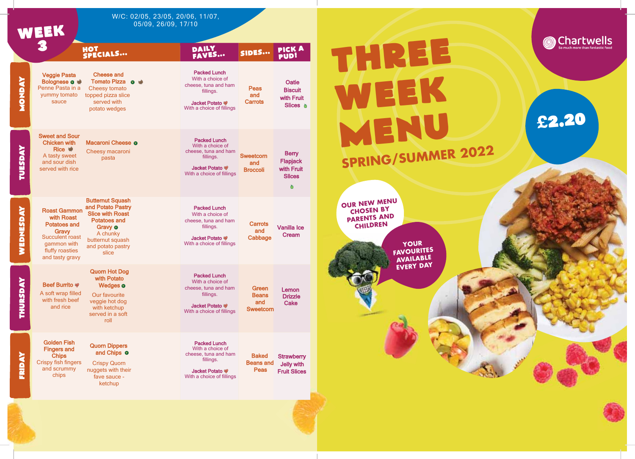